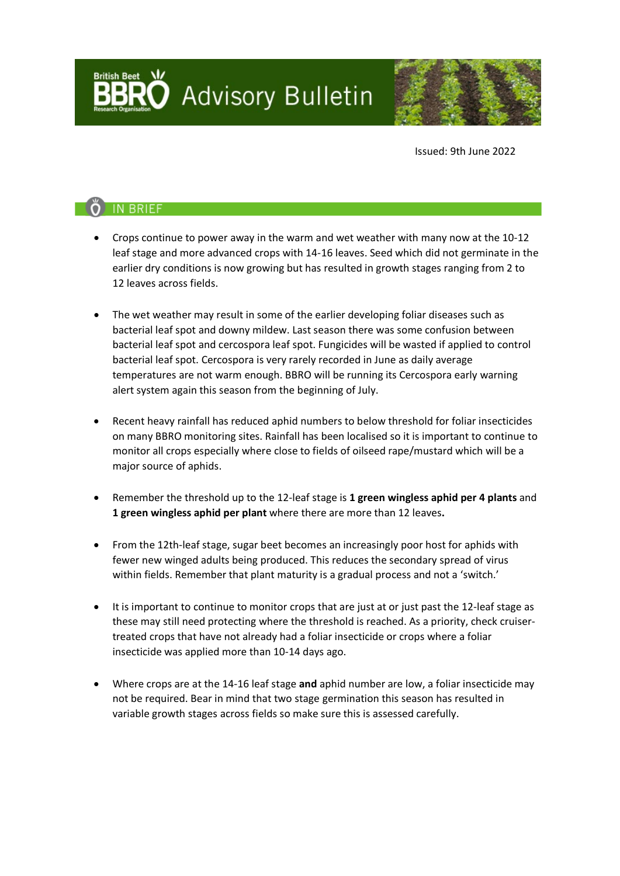**Advisory Bulletin** 



Issued: 9th June 2022

# O IN BRIEF

- Crops continue to power away in the warm and wet weather with many now at the 10-12 leaf stage and more advanced crops with 14-16 leaves. Seed which did not germinate in the earlier dry conditions is now growing but has resulted in growth stages ranging from 2 to 12 leaves across fields.
- The wet weather may result in some of the earlier developing foliar diseases such as bacterial leaf spot and downy mildew. Last season there was some confusion between bacterial leaf spot and cercospora leaf spot. Fungicides will be wasted if applied to control bacterial leaf spot. Cercospora is very rarely recorded in June as daily average temperatures are not warm enough. BBRO will be running its Cercospora early warning alert system again this season from the beginning of July.
- Recent heavy rainfall has reduced aphid numbers to below threshold for foliar insecticides on many BBRO monitoring sites. Rainfall has been localised so it is important to continue to monitor all crops especially where close to fields of oilseed rape/mustard which will be a major source of aphids.
- Remember the threshold up to the 12-leaf stage is **1 green wingless aphid per 4 plants** and **1 green wingless aphid per plant** where there are more than 12 leaves**.**
- From the 12th-leaf stage, sugar beet becomes an increasingly poor host for aphids with fewer new winged adults being produced. This reduces the secondary spread of virus within fields. Remember that plant maturity is a gradual process and not a 'switch.'
- It is important to continue to monitor crops that are just at or just past the 12-leaf stage as these may still need protecting where the threshold is reached. As a priority, check cruisertreated crops that have not already had a foliar insecticide or crops where a foliar insecticide was applied more than 10-14 days ago.
- Where crops are at the 14-16 leaf stage **and** aphid number are low, a foliar insecticide may not be required. Bear in mind that two stage germination this season has resulted in variable growth stages across fields so make sure this is assessed carefully.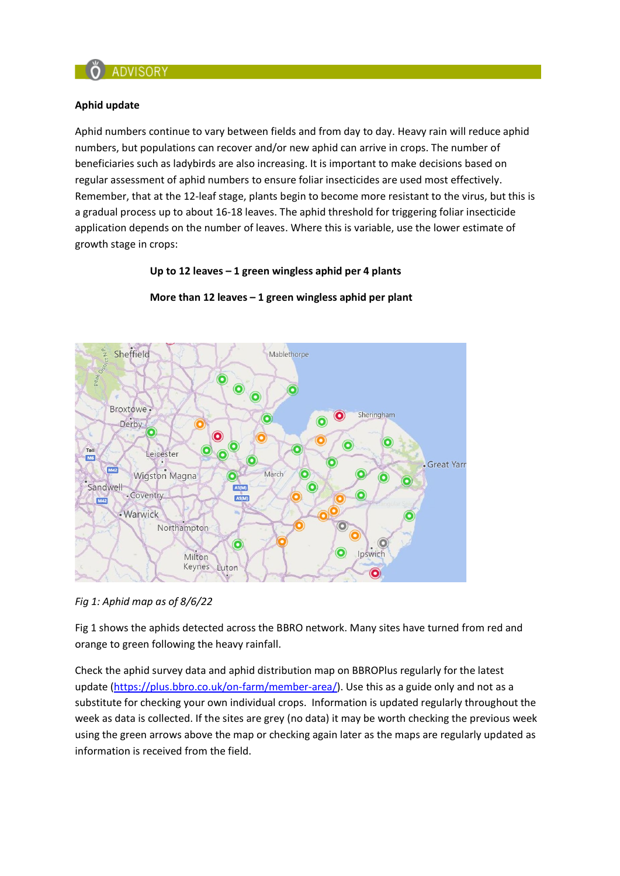

### **Aphid update**

Aphid numbers continue to vary between fields and from day to day. Heavy rain will reduce aphid numbers, but populations can recover and/or new aphid can arrive in crops. The number of beneficiaries such as ladybirds are also increasing. It is important to make decisions based on regular assessment of aphid numbers to ensure foliar insecticides are used most effectively. Remember, that at the 12-leaf stage, plants begin to become more resistant to the virus, but this is a gradual process up to about 16-18 leaves. The aphid threshold for triggering foliar insecticide application depends on the number of leaves. Where this is variable, use the lower estimate of growth stage in crops:

### **Up to 12 leaves – 1 green wingless aphid per 4 plants**



### **More than 12 leaves – 1 green wingless aphid per plant**

*Fig 1: Aphid map as of 8/6/22*

Fig 1 shows the aphids detected across the BBRO network. Many sites have turned from red and orange to green following the heavy rainfall.

Check the aphid survey data and aphid distribution map on BBROPlus regularly for the latest update [\(https://plus.bbro.co.uk/on-farm/member-area/\)](https://plus.bbro.co.uk/on-farm/member-area/). Use this as a guide only and not as a substitute for checking your own individual crops. Information is updated regularly throughout the week as data is collected. If the sites are grey (no data) it may be worth checking the previous week using the green arrows above the map or checking again later as the maps are regularly updated as information is received from the field.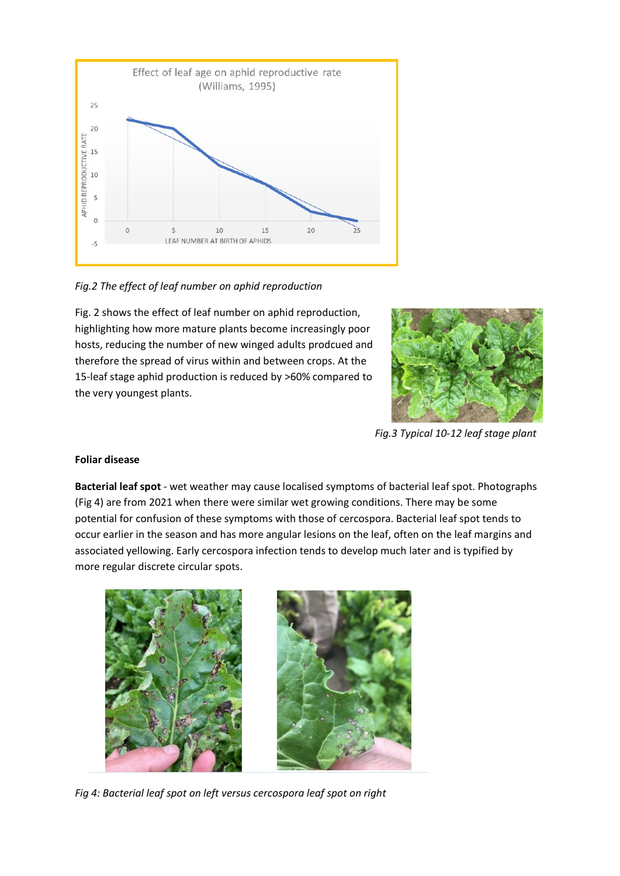

*Fig.2 The effect of leaf number on aphid reproduction* 

Fig. 2 shows the effect of leaf number on aphid reproduction, highlighting how more mature plants become increasingly poor hosts, reducing the number of new winged adults prodcued and therefore the spread of virus within and between crops. At the 15-leaf stage aphid production is reduced by >60% compared to the very youngest plants.



*Fig.3 Typical 10-12 leaf stage plant*

## **Foliar disease**

**Bacterial leaf spot** - wet weather may cause localised symptoms of bacterial leaf spot. Photographs (Fig 4) are from 2021 when there were similar wet growing conditions. There may be some potential for confusion of these symptoms with those of cercospora. Bacterial leaf spot tends to occur earlier in the season and has more angular lesions on the leaf, often on the leaf margins and associated yellowing. Early cercospora infection tends to develop much later and is typified by more regular discrete circular spots.



*Fig 4: Bacterial leaf spot on left versus cercospora leaf spot on right*